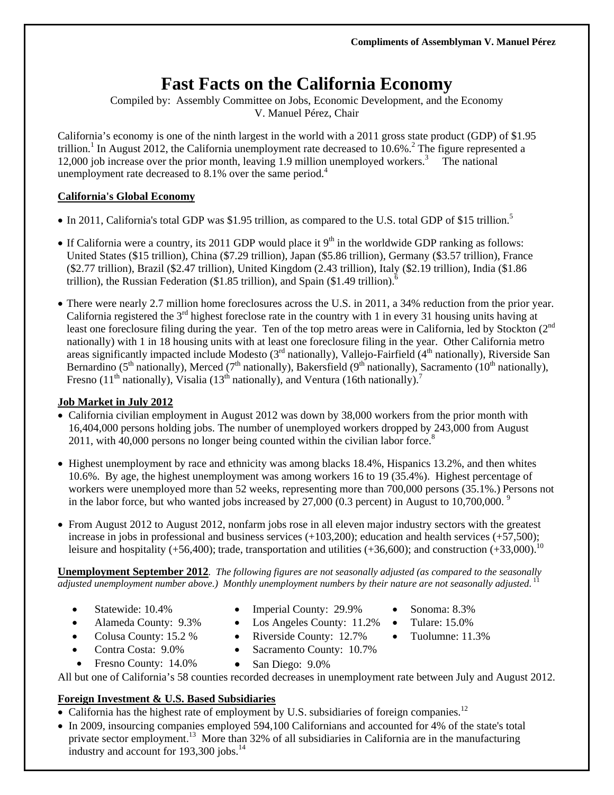# **Fast Facts on the California Economy**

Compiled by: Assembly Committee on Jobs, Economic Development, and the Economy V. Manuel Pérez, Chair

California's economy is one of the ninth largest in the world with a 2011 gross state product (GDP) of \$1.95 trillion.<sup>1</sup> In August 2012, the California unemployment rate decreased to  $10.6\%$ <sup>2</sup>. The figure represented a 12,000 job increase over the prior month, leaving 1.9 million unemployed workers.<sup>3</sup> The national unemployment rate decreased to 8.1% over the same period.<sup>4</sup>

#### **California's Global Economy**

- In 2011, California's total GDP was \$1.95 trillion, as compared to the U.S. total GDP of \$15 trillion.<sup>5</sup>
- If California were a country, its 2011 GDP would place it  $9<sup>th</sup>$  in the worldwide GDP ranking as follows: United States (\$15 trillion), China (\$7.29 trillion), Japan (\$5.86 trillion), Germany (\$3.57 trillion), France (\$2.77 trillion), Brazil (\$2.47 trillion), United Kingdom (2.43 trillion), Italy (\$2.19 trillion), India (\$1.86 trillion), the Russian Federation (\$1.85 trillion), and Spain (\$1.49 trillion).<sup>6</sup>
- There were nearly 2.7 million home foreclosures across the U.S. in 2011, a 34% reduction from the prior year. California registered the 3rd highest foreclose rate in the country with 1 in every 31 housing units having at least one foreclosure filing during the year. Ten of the top metro areas were in California, led by Stockton (2<sup>nd</sup> nationally) with 1 in 18 housing units with at least one foreclosure filing in the year. Other California metro areas significantly impacted include Modesto (3<sup>rd</sup> nationally), Vallejo-Fairfield (4<sup>th</sup> nationally), Riverside San Bernardino (5<sup>th</sup> nationally), Merced (7<sup>th</sup> nationally), Bakersfield (9<sup>th</sup> nationally), Sacramento (10<sup>th</sup> nationally), Fresno (11<sup>th</sup> nationally), Visalia (13<sup>th</sup> nationally), and Ventura (16th nationally).<sup>7</sup>

#### **Job Market in July 2012**

- California civilian employment in August 2012 was down by 38,000 workers from the prior month with 16,404,000 persons holding jobs. The number of unemployed workers dropped by 243,000 from August 2011, with 40,000 persons no longer being counted within the civilian labor force.<sup>8</sup>
- $\bullet$  Highest unemployment by race and ethnicity was among blacks 18.4%, Hispanics 13.2%, and then whites 10.6%. By age, the highest unemployment was among workers 16 to 19 (35.4%). Highest percentage of workers were unemployed more than 52 weeks, representing more than 700,000 persons (35.1%.) Persons not in the labor force, but who wanted jobs increased by  $27,000$  (0.3 percent) in August to  $10,700,000$ .<sup>9</sup>
- From August 2012 to August 2012, nonfarm jobs rose in all eleven major industry sectors with the greatest increase in jobs in professional and business services (+103,200); education and health services (+57,500); leisure and hospitality (+56,400); trade, transportation and utilities (+36,600); and construction  $(+33,000)$ .<sup>10</sup>

**Unemployment September 2012***. The following figures are not seasonally adjusted (as compared to the seasonally adjusted unemployment number above.) Monthly unemployment numbers by their nature are not seasonally adjusted.*<sup>11</sup>

- Statewide: 10.4%
- Imperial County: 29.9%
- Sonoma: 8.3% Tulare: 15.0%

Tuolumne: 11.3%

- Los Angeles County: 11.2% • Riverside County: 12.7%
- Colusa County: 15.2 %

Alameda County: 9.3%

- Contra Costa: 9.0%
- Fresno County: 14.0%
- San Diego:  $9.0\%$

All but one of California's 58 counties recorded decreases in unemployment rate between July and August 2012.

• Sacramento County: 10.7%

# **Foreign Investment & U.S. Based Subsidiaries**

- California has the highest rate of employment by U.S. subsidiaries of foreign companies.<sup>12</sup>
- In 2009, insourcing companies employed 594,100 Californians and accounted for 4% of the state's total private sector employment.<sup>13</sup> More than 32% of all subsidiaries in California are in the manufacturing industry and account for 193,300 jobs.<sup>14</sup>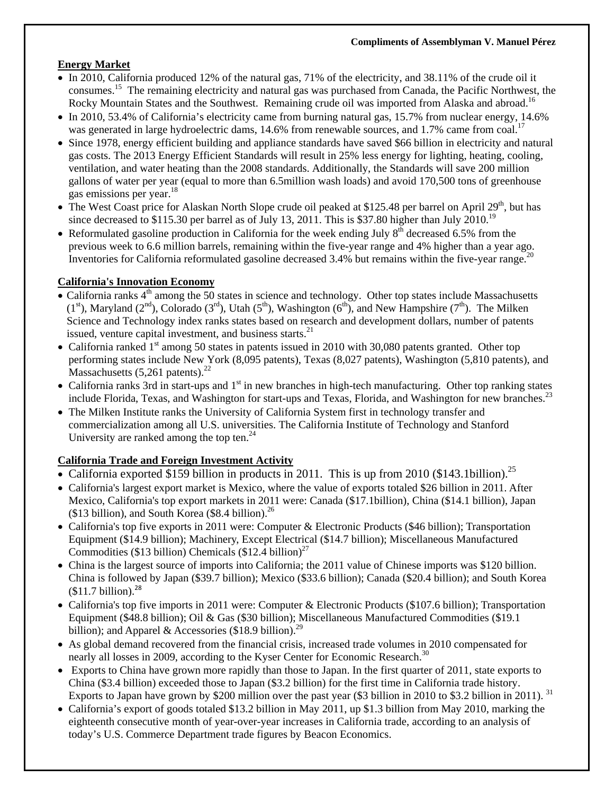## **Energy Market**

- In 2010, California produced 12% of the natural gas, 71% of the electricity, and 38.11% of the crude oil it consumes.15 The remaining electricity and natural gas was purchased from Canada, the Pacific Northwest, the Rocky Mountain States and the Southwest. Remaining crude oil was imported from Alaska and abroad.<sup>16</sup>
- In 2010, 53.4% of California's electricity came from burning natural gas, 15.7% from nuclear energy, 14.6% was generated in large hydroelectric dams, 14.6% from renewable sources, and 1.7% came from coal.<sup>17</sup>
- Since 1978, energy efficient building and appliance standards have saved \$66 billion in electricity and natural gas costs. The 2013 Energy Efficient Standards will result in 25% less energy for lighting, heating, cooling, ventilation, and water heating than the 2008 standards. Additionally, the Standards will save 200 million gallons of water per year (equal to more than 6.5million wash loads) and avoid 170,500 tons of greenhouse gas emissions per year.<sup>18</sup>
- The West Coast price for Alaskan North Slope crude oil peaked at \$125.48 per barrel on April 29<sup>th</sup>, but has since decreased to \$115.30 per barrel as of July 13, 2011. This is \$37.80 higher than July 2010.<sup>19</sup>
- Reformulated gasoline production in California for the week ending July  $8<sup>th</sup>$  decreased 6.5% from the previous week to 6.6 million barrels, remaining within the five-year range and 4% higher than a year ago. Inventories for California reformulated gasoline decreased  $3.4\%$  but remains within the five-year range.<sup>20</sup>

## **California's Innovation Economy**

- California ranks  $4<sup>th</sup>$  among the 50 states in science and technology. Other top states include Massachusetts  $(1<sup>st</sup>)$ , Maryland  $(2<sup>nd</sup>)$ , Colorado  $(3<sup>rd</sup>)$ , Utah  $(5<sup>th</sup>)$ , Washington  $(6<sup>th</sup>)$ , and New Hampshire  $(7<sup>th</sup>)$ . The Milken Science and Technology index ranks states based on research and development dollars, number of patents issued, venture capital investment, and business starts.<sup>21</sup>
- California ranked  $1<sup>st</sup>$  among 50 states in patents issued in 2010 with 30,080 patents granted. Other top performing states include New York (8,095 patents), Texas (8,027 patents), Washington (5,810 patents), and Massachusetts  $(5,261 \text{ patterns})$ .<sup>22</sup>
- California ranks 3rd in start-ups and  $1<sup>st</sup>$  in new branches in high-tech manufacturing. Other top ranking states include Florida, Texas, and Washington for start-ups and Texas, Florida, and Washington for new branches.<sup>23</sup>
- The Milken Institute ranks the University of California System first in technology transfer and commercialization among all U.S. universities. The California Institute of Technology and Stanford University are ranked among the top ten. $^{24}$

# **California Trade and Foreign Investment Activity**

- California exported \$159 billion in products in 2011. This is up from 2010 (\$143.1billion).<sup>25</sup>
- California's largest export market is Mexico, where the value of exports totaled \$26 billion in 2011. After Mexico, California's top export markets in 2011 were: Canada (\$17.1billion), China (\$14.1 billion), Japan (\$13 billion), and South Korea (\$8.4 billion). $^{26}$
- California's top five exports in 2011 were: Computer & Electronic Products (\$46 billion); Transportation Equipment (\$14.9 billion); Machinery, Except Electrical (\$14.7 billion); Miscellaneous Manufactured Commodities (\$13 billion) Chemicals (\$12.4 billion)<sup>27</sup>
- China is the largest source of imports into California; the 2011 value of Chinese imports was \$120 billion. China is followed by Japan (\$39.7 billion); Mexico (\$33.6 billion); Canada (\$20.4 billion); and South Korea  $$11.7 billion.<sup>28</sup>$
- California's top five imports in 2011 were: Computer & Electronic Products (\$107.6 billion); Transportation Equipment (\$48.8 billion); Oil & Gas (\$30 billion); Miscellaneous Manufactured Commodities (\$19.1 billion); and Apparel & Accessories (\$18.9 billion).<sup>29</sup>
- As global demand recovered from the financial crisis, increased trade volumes in 2010 compensated for nearly all losses in 2009, according to the Kyser Center for Economic Research.<sup>30</sup>
- Exports to China have grown more rapidly than those to Japan. In the first quarter of 2011, state exports to China (\$3.4 billion) exceeded those to Japan (\$3.2 billion) for the first time in California trade history. Exports to Japan have grown by \$200 million over the past year (\$3 billion in 2010 to \$3.2 billion in 2011). 31
- California's export of goods totaled \$13.2 billion in May 2011, up \$1.3 billion from May 2010, marking the eighteenth consecutive month of year-over-year increases in California trade, according to an analysis of today's U.S. Commerce Department trade figures by Beacon Economics.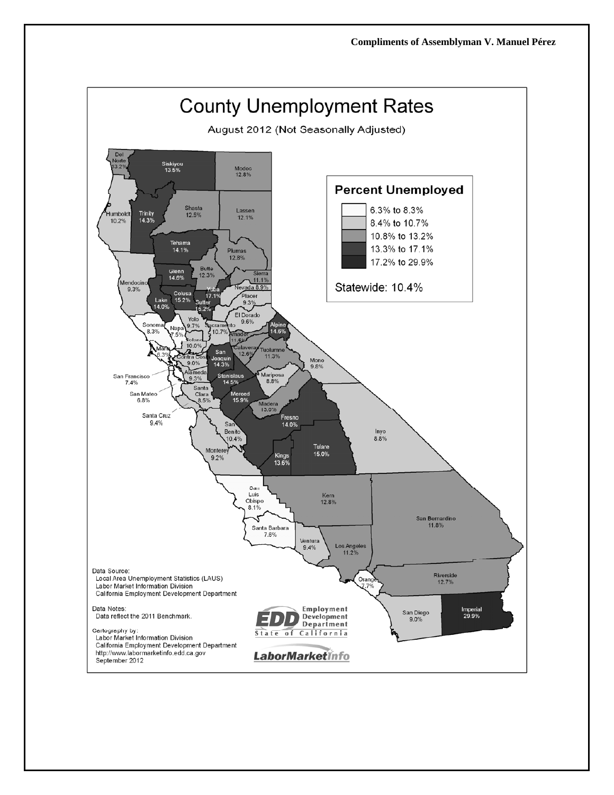